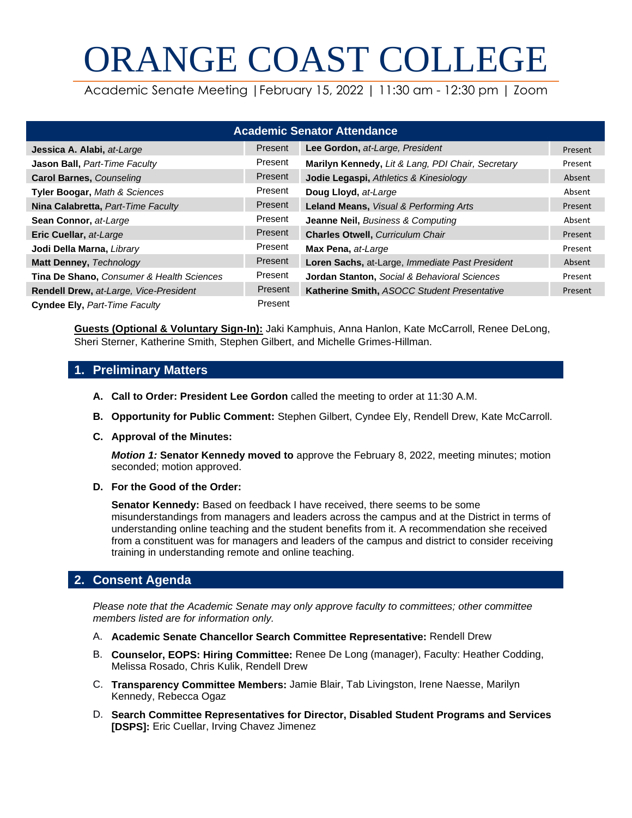# ORANGE COAST COLLEGE

Academic Senate Meeting |February 15, 2022 | 11:30 am - 12:30 pm | Zoom

| <b>Academic Senator Attendance</b>        |         |                                                         |         |  |  |
|-------------------------------------------|---------|---------------------------------------------------------|---------|--|--|
| Jessica A. Alabi, at-Large                | Present | Lee Gordon, at-Large, President                         | Present |  |  |
| Jason Ball, Part-Time Faculty             | Present | Marilyn Kennedy, Lit & Lang, PDI Chair, Secretary       | Present |  |  |
| <b>Carol Barnes, Counseling</b>           | Present | Jodie Legaspi, Athletics & Kinesiology                  | Absent  |  |  |
| Tyler Boogar, Math & Sciences             | Present | Doug Lloyd, at-Large                                    | Absent  |  |  |
| Nina Calabretta, Part-Time Faculty        | Present | Leland Means, Visual & Performing Arts                  | Present |  |  |
| Sean Connor, at-Large                     | Present | Jeanne Neil, Business & Computing                       | Absent  |  |  |
| Eric Cuellar, at-Large                    | Present | <b>Charles Otwell, Curriculum Chair</b>                 | Present |  |  |
| Jodi Della Marna, Library                 | Present | Max Pena, at-Large                                      | Present |  |  |
| Matt Denney, Technology                   | Present | Loren Sachs, at-Large, Immediate Past President         | Absent  |  |  |
| Tina De Shano, Consumer & Health Sciences | Present | <b>Jordan Stanton, Social &amp; Behavioral Sciences</b> | Present |  |  |
| Rendell Drew, at-Large, Vice-President    | Present | Katherine Smith, ASOCC Student Presentative             | Present |  |  |
| Cyndee Ely, Part-Time Faculty             | Present |                                                         |         |  |  |

**Guests (Optional & Voluntary Sign-In):** Jaki Kamphuis, Anna Hanlon, Kate McCarroll, Renee DeLong, Sheri Sterner, Katherine Smith, Stephen Gilbert, and Michelle Grimes-Hillman.

## **1. Preliminary Matters**

- **A. Call to Order: President Lee Gordon** called the meeting to order at 11:30 A.M.
- **B. Opportunity for Public Comment:** Stephen Gilbert, Cyndee Ely, Rendell Drew, Kate McCarroll.
- **C. Approval of the Minutes:**

*Motion 1:* **Senator Kennedy moved to** approve the February 8, 2022, meeting minutes; motion seconded; motion approved.

**D. For the Good of the Order:**

**Senator Kennedy:** Based on feedback I have received, there seems to be some misunderstandings from managers and leaders across the campus and at the District in terms of understanding online teaching and the student benefits from it. A recommendation she received from a constituent was for managers and leaders of the campus and district to consider receiving training in understanding remote and online teaching.

## **2. Consent Agenda**

*Please note that the Academic Senate may only approve faculty to committees; other committee members listed are for information only.*

- A. **Academic Senate Chancellor Search Committee Representative:** Rendell Drew
- B. **Counselor, EOPS: Hiring Committee:** Renee De Long (manager), Faculty: Heather Codding, Melissa Rosado, Chris Kulik, Rendell Drew
- C. **Transparency Committee Members:** Jamie Blair, Tab Livingston, Irene Naesse, Marilyn Kennedy, Rebecca Ogaz
- D. **Search Committee Representatives for Director, Disabled Student Programs and Services [DSPS]:** Eric Cuellar, Irving Chavez Jimenez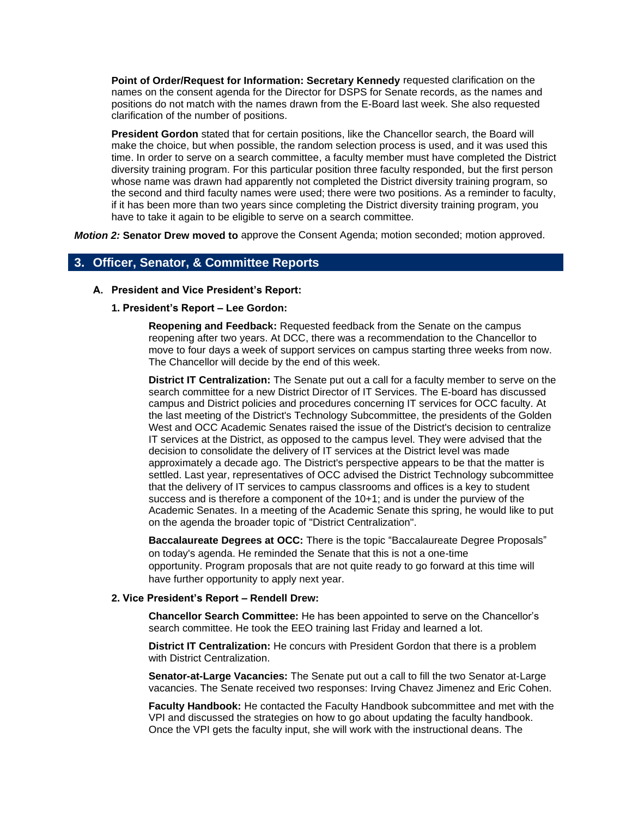**Point of Order/Request for Information: Secretary Kennedy** requested clarification on the names on the consent agenda for the Director for DSPS for Senate records, as the names and positions do not match with the names drawn from the E-Board last week. She also requested clarification of the number of positions.

**President Gordon** stated that for certain positions, like the Chancellor search, the Board will make the choice, but when possible, the random selection process is used, and it was used this time. In order to serve on a search committee, a faculty member must have completed the District diversity training program. For this particular position three faculty responded, but the first person whose name was drawn had apparently not completed the District diversity training program, so the second and third faculty names were used; there were two positions. As a reminder to faculty, if it has been more than two years since completing the District diversity training program, you have to take it again to be eligible to serve on a search committee.

*Motion 2:* **Senator Drew moved to** approve the Consent Agenda; motion seconded; motion approved.

## **3. Officer, Senator, & Committee Reports**

**A. President and Vice President's Report:** 

#### **1. President's Report – Lee Gordon:**

**Reopening and Feedback:** Requested feedback from the Senate on the campus reopening after two years. At DCC, there was a recommendation to the Chancellor to move to four days a week of support services on campus starting three weeks from now. The Chancellor will decide by the end of this week.

**District IT Centralization:** The Senate put out a call for a faculty member to serve on the search committee for a new District Director of IT Services. The E-board has discussed campus and District policies and procedures concerning IT services for OCC faculty. At the last meeting of the District's Technology Subcommittee, the presidents of the Golden West and OCC Academic Senates raised the issue of the District's decision to centralize IT services at the District, as opposed to the campus level. They were advised that the decision to consolidate the delivery of IT services at the District level was made approximately a decade ago. The District's perspective appears to be that the matter is settled. Last year, representatives of OCC advised the District Technology subcommittee that the delivery of IT services to campus classrooms and offices is a key to student success and is therefore a component of the 10+1; and is under the purview of the Academic Senates. In a meeting of the Academic Senate this spring, he would like to put on the agenda the broader topic of "District Centralization".

**Baccalaureate Degrees at OCC:** There is the topic "Baccalaureate Degree Proposals" on today's agenda. He reminded the Senate that this is not a one-time opportunity. Program proposals that are not quite ready to go forward at this time will have further opportunity to apply next year.

#### **2. Vice President's Report – Rendell Drew:**

**Chancellor Search Committee:** He has been appointed to serve on the Chancellor's search committee. He took the EEO training last Friday and learned a lot.

**District IT Centralization:** He concurs with President Gordon that there is a problem with District Centralization.

**Senator-at-Large Vacancies:** The Senate put out a call to fill the two Senator at-Large vacancies. The Senate received two responses: Irving Chavez Jimenez and Eric Cohen.

**Faculty Handbook:** He contacted the Faculty Handbook subcommittee and met with the VPI and discussed the strategies on how to go about updating the faculty handbook. Once the VPI gets the faculty input, she will work with the instructional deans. The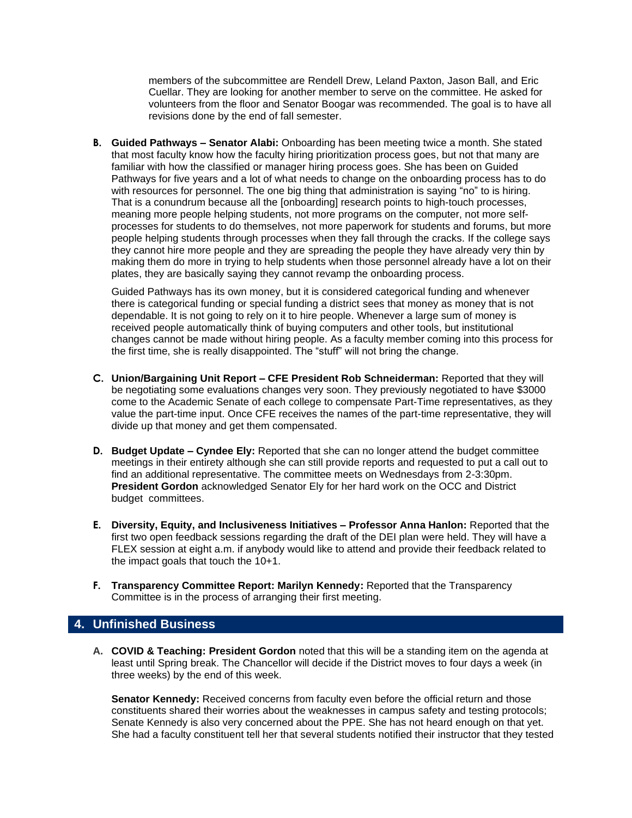members of the subcommittee are Rendell Drew, Leland Paxton, Jason Ball, and Eric Cuellar. They are looking for another member to serve on the committee. He asked for volunteers from the floor and Senator Boogar was recommended. The goal is to have all revisions done by the end of fall semester.

**B. Guided Pathways – Senator Alabi:** Onboarding has been meeting twice a month. She stated that most faculty know how the faculty hiring prioritization process goes, but not that many are familiar with how the classified or manager hiring process goes. She has been on Guided Pathways for five years and a lot of what needs to change on the onboarding process has to do with resources for personnel. The one big thing that administration is saying "no" to is hiring. That is a conundrum because all the [onboarding] research points to high-touch processes, meaning more people helping students, not more programs on the computer, not more selfprocesses for students to do themselves, not more paperwork for students and forums, but more people helping students through processes when they fall through the cracks. If the college says they cannot hire more people and they are spreading the people they have already very thin by making them do more in trying to help students when those personnel already have a lot on their plates, they are basically saying they cannot revamp the onboarding process.

Guided Pathways has its own money, but it is considered categorical funding and whenever there is categorical funding or special funding a district sees that money as money that is not dependable. It is not going to rely on it to hire people. Whenever a large sum of money is received people automatically think of buying computers and other tools, but institutional changes cannot be made without hiring people. As a faculty member coming into this process for the first time, she is really disappointed. The "stuff" will not bring the change.

- **C. Union/Bargaining Unit Report – CFE President Rob Schneiderman:** Reported that they will be negotiating some evaluations changes very soon. They previously negotiated to have \$3000 come to the Academic Senate of each college to compensate Part-Time representatives, as they value the part-time input. Once CFE receives the names of the part-time representative, they will divide up that money and get them compensated.
- **D. Budget Update – Cyndee Ely:** Reported that she can no longer attend the budget committee meetings in their entirety although she can still provide reports and requested to put a call out to find an additional representative. The committee meets on Wednesdays from 2-3:30pm. **President Gordon** acknowledged Senator Ely for her hard work on the OCC and District budget committees.
- **E. Diversity, Equity, and Inclusiveness Initiatives – Professor Anna Hanlon:** Reported that the first two open feedback sessions regarding the draft of the DEI plan were held. They will have a FLEX session at eight a.m. if anybody would like to attend and provide their feedback related to the impact goals that touch the 10+1.
- **F. Transparency Committee Report: Marilyn Kennedy:** Reported that the Transparency Committee is in the process of arranging their first meeting.

## **4. Unfinished Business**

**A. COVID & Teaching: President Gordon** noted that this will be a standing item on the agenda at least until Spring break. The Chancellor will decide if the District moves to four days a week (in three weeks) by the end of this week.

**Senator Kennedy:** Received concerns from faculty even before the official return and those constituents shared their worries about the weaknesses in campus safety and testing protocols; Senate Kennedy is also very concerned about the PPE. She has not heard enough on that yet. She had a faculty constituent tell her that several students notified their instructor that they tested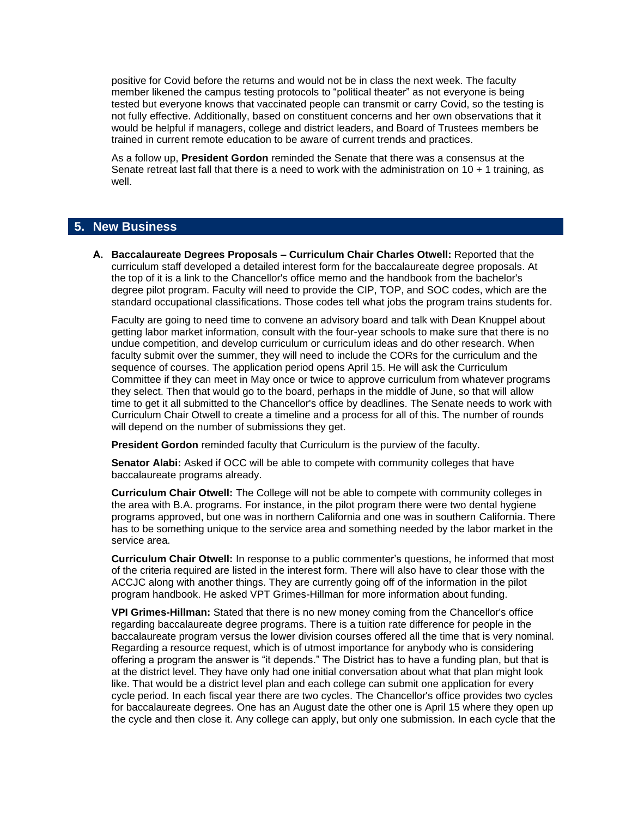positive for Covid before the returns and would not be in class the next week. The faculty member likened the campus testing protocols to "political theater" as not everyone is being tested but everyone knows that vaccinated people can transmit or carry Covid, so the testing is not fully effective. Additionally, based on constituent concerns and her own observations that it would be helpful if managers, college and district leaders, and Board of Trustees members be trained in current remote education to be aware of current trends and practices.

As a follow up, **President Gordon** reminded the Senate that there was a consensus at the Senate retreat last fall that there is a need to work with the administration on 10 + 1 training, as well.

## **5. New Business**

**A. Baccalaureate Degrees Proposals – Curriculum Chair Charles Otwell:** Reported that the curriculum staff developed a detailed interest form for the baccalaureate degree proposals. At the top of it is a link to the Chancellor's office memo and the handbook from the bachelor's degree pilot program. Faculty will need to provide the CIP, TOP, and SOC codes, which are the standard occupational classifications. Those codes tell what jobs the program trains students for.

Faculty are going to need time to convene an advisory board and talk with Dean Knuppel about getting labor market information, consult with the four-year schools to make sure that there is no undue competition, and develop curriculum or curriculum ideas and do other research. When faculty submit over the summer, they will need to include the CORs for the curriculum and the sequence of courses. The application period opens April 15. He will ask the Curriculum Committee if they can meet in May once or twice to approve curriculum from whatever programs they select. Then that would go to the board, perhaps in the middle of June, so that will allow time to get it all submitted to the Chancellor's office by deadlines. The Senate needs to work with Curriculum Chair Otwell to create a timeline and a process for all of this. The number of rounds will depend on the number of submissions they get.

**President Gordon** reminded faculty that Curriculum is the purview of the faculty.

**Senator Alabi:** Asked if OCC will be able to compete with community colleges that have baccalaureate programs already.

**Curriculum Chair Otwell:** The College will not be able to compete with community colleges in the area with B.A. programs. For instance, in the pilot program there were two dental hygiene programs approved, but one was in northern California and one was in southern California. There has to be something unique to the service area and something needed by the labor market in the service area.

**Curriculum Chair Otwell:** In response to a public commenter's questions, he informed that most of the criteria required are listed in the interest form. There will also have to clear those with the ACCJC along with another things. They are currently going off of the information in the pilot program handbook. He asked VPT Grimes-Hillman for more information about funding.

**VPI Grimes-Hillman:** Stated that there is no new money coming from the Chancellor's office regarding baccalaureate degree programs. There is a tuition rate difference for people in the baccalaureate program versus the lower division courses offered all the time that is very nominal. Regarding a resource request, which is of utmost importance for anybody who is considering offering a program the answer is "it depends." The District has to have a funding plan, but that is at the district level. They have only had one initial conversation about what that plan might look like. That would be a district level plan and each college can submit one application for every cycle period. In each fiscal year there are two cycles. The Chancellor's office provides two cycles for baccalaureate degrees. One has an August date the other one is April 15 where they open up the cycle and then close it. Any college can apply, but only one submission. In each cycle that the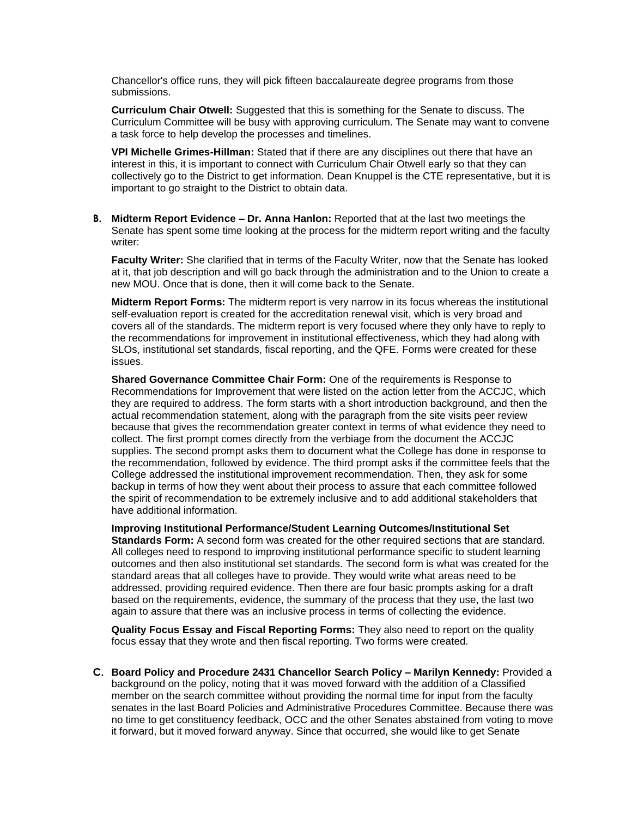Chancellor's office runs, they will pick fifteen baccalaureate degree programs from those submissions.

**Curriculum Chair Otwell:** Suggested that this is something for the Senate to discuss. The Curriculum Committee will be busy with approving curriculum. The Senate may want to convene a task force to help develop the processes and timelines.

**VPI Michelle Grimes-Hillman:** Stated that if there are any disciplines out there that have an interest in this, it is important to connect with Curriculum Chair Otwell early so that they can collectively go to the District to get information. Dean Knuppel is the CTE representative, but it is important to go straight to the District to obtain data.

**B. Midterm Report Evidence – Dr. Anna Hanlon:** Reported that at the last two meetings the Senate has spent some time looking at the process for the midterm report writing and the faculty writer:

**Faculty Writer:** She clarified that in terms of the Faculty Writer, now that the Senate has looked at it, that job description and will go back through the administration and to the Union to create a new MOU. Once that is done, then it will come back to the Senate.

**Midterm Report Forms:** The midterm report is very narrow in its focus whereas the institutional self-evaluation report is created for the accreditation renewal visit, which is very broad and covers all of the standards. The midterm report is very focused where they only have to reply to the recommendations for improvement in institutional effectiveness, which they had along with SLOs, institutional set standards, fiscal reporting, and the QFE. Forms were created for these issues.

**Shared Governance Committee Chair Form:** One of the requirements is Response to Recommendations for Improvement that were listed on the action letter from the ACCJC, which they are required to address. The form starts with a short introduction background, and then the actual recommendation statement, along with the paragraph from the site visits peer review because that gives the recommendation greater context in terms of what evidence they need to collect. The first prompt comes directly from the verbiage from the document the ACCJC supplies. The second prompt asks them to document what the College has done in response to the recommendation, followed by evidence. The third prompt asks if the committee feels that the College addressed the institutional improvement recommendation. Then, they ask for some backup in terms of how they went about their process to assure that each committee followed the spirit of recommendation to be extremely inclusive and to add additional stakeholders that have additional information.

**Improving Institutional Performance/Student Learning Outcomes/Institutional Set Standards Form:** A second form was created for the other required sections that are standard. All colleges need to respond to improving institutional performance specific to student learning outcomes and then also institutional set standards. The second form is what was created for the standard areas that all colleges have to provide. They would write what areas need to be addressed, providing required evidence. Then there are four basic prompts asking for a draft based on the requirements, evidence, the summary of the process that they use, the last two again to assure that there was an inclusive process in terms of collecting the evidence.

**Quality Focus Essay and Fiscal Reporting Forms:** They also need to report on the quality focus essay that they wrote and then fiscal reporting. Two forms were created.

**C. Board Policy and Procedure 2431 Chancellor Search Policy – Marilyn Kennedy:** Provided a background on the policy, noting that it was moved forward with the addition of a Classified member on the search committee without providing the normal time for input from the faculty senates in the last Board Policies and Administrative Procedures Committee. Because there was no time to get constituency feedback, OCC and the other Senates abstained from voting to move it forward, but it moved forward anyway. Since that occurred, she would like to get Senate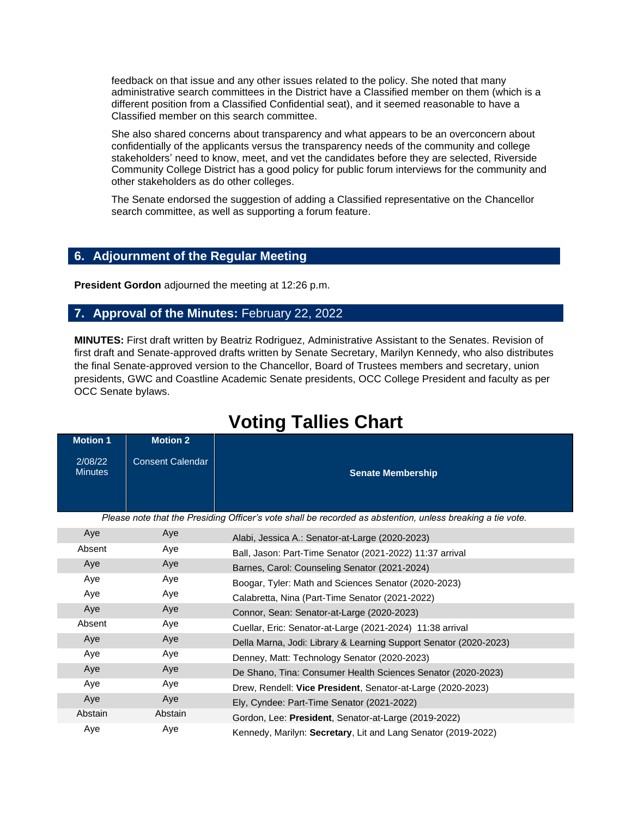feedback on that issue and any other issues related to the policy. She noted that many administrative search committees in the District have a Classified member on them (which is a different position from a Classified Confidential seat), and it seemed reasonable to have a Classified member on this search committee.

She also shared concerns about transparency and what appears to be an overconcern about confidentially of the applicants versus the transparency needs of the community and college stakeholders' need to know, meet, and vet the candidates before they are selected, Riverside Community College District has a good policy for public forum interviews for the community and other stakeholders as do other colleges.

The Senate endorsed the suggestion of adding a Classified representative on the Chancellor search committee, as well as supporting a forum feature.

# **6. Adjournment of the Regular Meeting**

**President Gordon** adjourned the meeting at 12:26 p.m.

## **7. Approval of the Minutes:** February 22, 2022

**MINUTES:** First draft written by Beatriz Rodriguez, Administrative Assistant to the Senates. Revision of first draft and Senate-approved drafts written by Senate Secretary, Marilyn Kennedy, who also distributes the final Senate-approved version to the Chancellor, Board of Trustees members and secretary, union presidents, GWC and Coastline Academic Senate presidents, OCC College President and faculty as per OCC Senate bylaws.

| <b>Motion 1</b>           | <b>Motion 2</b>         |
|---------------------------|-------------------------|
| 2/08/22<br><b>Minutes</b> | <b>Consent Calendar</b> |

*Please note that the Presiding Officer's vote shall be recorded as abstention, unless breaking a tie vote.*

| Aye     | Aye     | Alabi, Jessica A.: Senator-at-Large (2020-2023)                   |
|---------|---------|-------------------------------------------------------------------|
| Absent  | Aye     | Ball, Jason: Part-Time Senator (2021-2022) 11:37 arrival          |
| Aye     | Aye     | Barnes, Carol: Counseling Senator (2021-2024)                     |
| Aye     | Aye     | Boogar, Tyler: Math and Sciences Senator (2020-2023)              |
| Aye     | Aye     | Calabretta, Nina (Part-Time Senator (2021-2022)                   |
| Aye     | Aye     | Connor, Sean: Senator-at-Large (2020-2023)                        |
| Absent  | Aye     | Cuellar, Eric: Senator-at-Large (2021-2024) 11:38 arrival         |
| Aye     | Aye     | Della Marna, Jodi: Library & Learning Support Senator (2020-2023) |
| Aye     | Aye     | Denney, Matt: Technology Senator (2020-2023)                      |
| Aye     | Aye     | De Shano, Tina: Consumer Health Sciences Senator (2020-2023)      |
| Aye     | Aye     | Drew, Rendell: Vice President, Senator-at-Large (2020-2023)       |
| Aye     | Aye     | Ely, Cyndee: Part-Time Senator (2021-2022)                        |
| Abstain | Abstain | Gordon, Lee: President, Senator-at-Large (2019-2022)              |
| Aye     | Aye     | Kennedy, Marilyn: Secretary, Lit and Lang Senator (2019-2022)     |